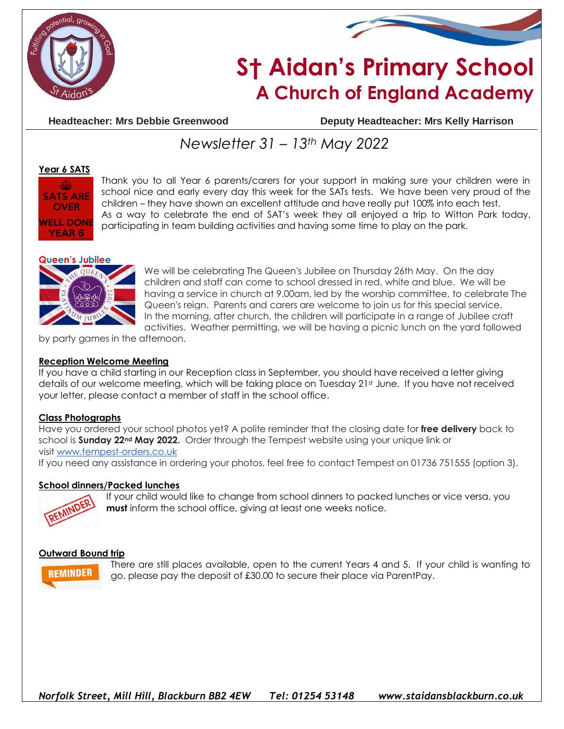



# **S† Aidan's Primary School A Church of England Academy**

**Headteacher: Mrs Debbie Greenwood Deputy Headteacher: Mrs Kelly Harrison**

## *Newsletter 31 – 13th May 2022*

#### **Year 6 SATS**



Thank you to all Year 6 parents/carers for your support in making sure your children were in school nice and early every day this week for the SATs tests. We have been very proud of the children – they have shown an excellent attitude and have really put 100% into each test. As a way to celebrate the end of SAT's week they all enjoyed a trip to Witton Park today, participating in team building activities and having some time to play on the park.

#### **Queen's Jubilee**



We will be celebrating The Queen's Jubilee on Thursday 26th May. On the day children and staff can come to school dressed in red, white and blue. We will be having a service in church at 9.00am, led by the worship committee, to celebrate The Queen's reign. Parents and carers are welcome to join us for this special service. In the morning, after church, the children will participate in a range of Jubilee craft activities. Weather permitting, we will be having a picnic lunch on the yard followed

by party games in the afternoon.

#### **Reception Welcome Meeting**

If you have a child starting in our Reception class in September, you should have received a letter giving details of our welcome meeting, which will be taking place on Tuesday 21st June. If you have not received your letter, please contact a member of staff in the school office.

#### **Class Photographs**

Have you ordered your school photos yet? A polite reminder that the closing date for **free delivery** back to school is **Sunday 22nd May 2022.** Order through the Tempest website using your unique link or visit [www.tempest-orders.co.uk](http://www.tempest-orders.co.uk/) If you need any assistance in ordering your photos, feel free to contact Tempest on 01736 751555 (option 3).

#### **School dinners/Packed lunches**



If your child would like to change from school dinners to packed lunches or vice versa, you **must** inform the school office, giving at least one weeks notice.

#### **Outward Bound trip**



There are still places available, open to the current Years 4 and 5. If your child is wanting to go, please pay the deposit of £30.00 to secure their place via ParentPay.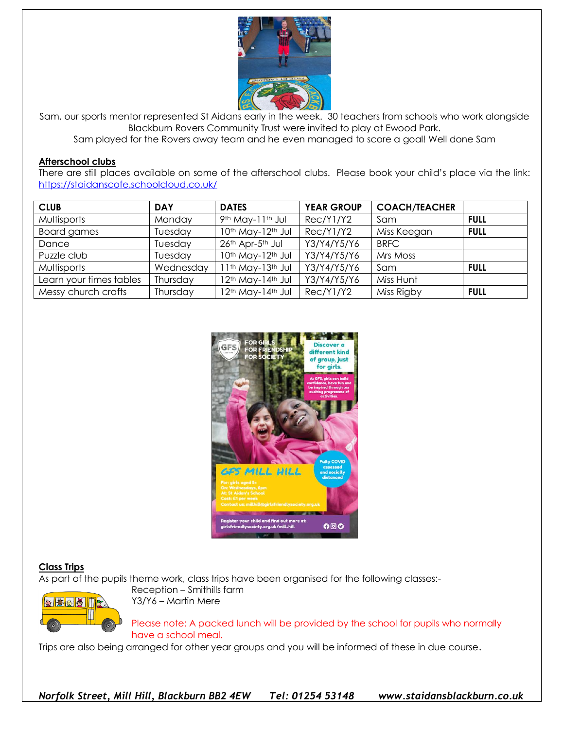

Sam, our sports mentor represented St Aidans early in the week. 30 teachers from schools who work alongside Blackburn Rovers Community Trust were invited to play at Ewood Park.

Sam played for the Rovers away team and he even managed to score a goal! Well done Sam

#### **Afterschool clubs**

There are still places available on some of the afterschool clubs. Please book your child's place via the link: <https://staidanscofe.schoolcloud.co.uk/>

| <b>CLUB</b>             | <b>DAY</b> | <b>DATES</b>                             | <b>YEAR GROUP</b> | <b>COACH/TEACHER</b> |             |
|-------------------------|------------|------------------------------------------|-------------------|----------------------|-------------|
| Multisports             | Monday     | 9th May-11th Jul                         | Rec/Y1/Y2         | Sam                  | FULL        |
| <b>Board games</b>      | Tuesday    | 10th May-12th Jul                        | Rec/Y1/Y2         | Miss Keegan          | <b>FULL</b> |
| Dance                   | Tuesday    | 26th Apr-5th Jul                         | Y3/Y4/Y5/Y6       | <b>BRFC</b>          |             |
| Puzzle club             | Tuesday    | 10th May-12th Jul                        | Y3/Y4/Y5/Y6       | Mrs Moss             |             |
| Multisports             | Wednesday  | I 1th May-13th Jul                       | Y3/Y4/Y5/Y6       | Sam                  | FULL        |
| Learn your times tables | Thursday   | 2 <sup>th</sup> May-14 <sup>th</sup> Jul | Y3/Y4/Y5/Y6       | Miss Hunt            |             |
| Messy church crafts     | Thursday   | 12th May-14th Jul                        | Rec/Y1/Y2         | Miss Rigby           | <b>FULL</b> |



### **Class Trips**

As part of the pupils theme work, class trips have been organised for the following classes:-



Reception – Smithills farm Y3/Y6 – Martin Mere

Please note: A packed lunch will be provided by the school for pupils who normally have a school meal.

Trips are also being arranged for other year groups and you will be informed of these in due course.

*Norfolk Street, Mill Hill, Blackburn BB2 4EW Tel: 01254 53148 www.staidansblackburn.co.uk*